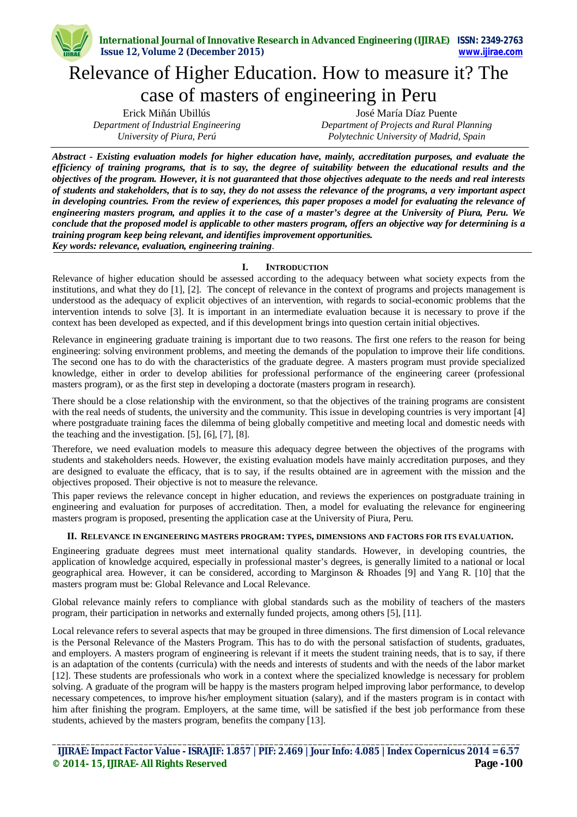# Relevance of Higher Education. How to measure it? The case of masters of engineering in Peru

Erick Miñán Ubillús *Department of Industrial Engineering University of Piura, Perú*

José María Díaz Puente *Department of Projects and Rural Planning Polytechnic University of Madrid, Spain*

*Abstract - Existing evaluation models for higher education have, mainly, accreditation purposes, and evaluate the efficiency of training programs, that is to say, the degree of suitability between the educational results and the objectives of the program. However, it is not guaranteed that those objectives adequate to the needs and real interests of students and stakeholders, that is to say, they do not assess the relevance of the programs, a very important aspect in developing countries. From the review of experiences, this paper proposes a model for evaluating the relevance of engineering masters program, and applies it to the case of a master's degree at the University of Piura, Peru. We conclude that the proposed model is applicable to other masters program, offers an objective way for determining is a training program keep being relevant, and identifies improvement opportunities. Key words: relevance, evaluation, engineering training*.

## **I. INTRODUCTION**

Relevance of higher education should be assessed according to the adequacy between what society expects from the institutions, and what they do [1], [2]. The concept of relevance in the context of programs and projects management is understood as the adequacy of explicit objectives of an intervention, with regards to social-economic problems that the intervention intends to solve [3]. It is important in an intermediate evaluation because it is necessary to prove if the context has been developed as expected, and if this development brings into question certain initial objectives.

Relevance in engineering graduate training is important due to two reasons. The first one refers to the reason for being engineering: solving environment problems, and meeting the demands of the population to improve their life conditions. The second one has to do with the characteristics of the graduate degree. A masters program must provide specialized knowledge, either in order to develop abilities for professional performance of the engineering career (professional masters program), or as the first step in developing a doctorate (masters program in research).

There should be a close relationship with the environment, so that the objectives of the training programs are consistent with the real needs of students, the university and the community. This issue in developing countries is very important [4] where postgraduate training faces the dilemma of being globally competitive and meeting local and domestic needs with the teaching and the investigation. [5], [6], [7], [8].

Therefore, we need evaluation models to measure this adequacy degree between the objectives of the programs with students and stakeholders needs. However, the existing evaluation models have mainly accreditation purposes, and they are designed to evaluate the efficacy, that is to say, if the results obtained are in agreement with the mission and the objectives proposed. Their objective is not to measure the relevance.

This paper reviews the relevance concept in higher education, and reviews the experiences on postgraduate training in engineering and evaluation for purposes of accreditation. Then, a model for evaluating the relevance for engineering masters program is proposed, presenting the application case at the University of Piura, Peru.

## **II. RELEVANCE IN ENGINEERING MASTERS PROGRAM: TYPES, DIMENSIONS AND FACTORS FOR ITS EVALUATION.**

Engineering graduate degrees must meet international quality standards. However, in developing countries, the application of knowledge acquired, especially in professional master's degrees, is generally limited to a national or local geographical area. However, it can be considered, according to Marginson & Rhoades [9] and Yang R. [10] that the masters program must be: Global Relevance and Local Relevance.

Global relevance mainly refers to compliance with global standards such as the mobility of teachers of the masters program, their participation in networks and externally funded projects, among others [5], [11].

Local relevance refers to several aspects that may be grouped in three dimensions. The first dimension of Local relevance is the Personal Relevance of the Masters Program. This has to do with the personal satisfaction of students, graduates, and employers. A masters program of engineering is relevant if it meets the student training needs, that is to say, if there is an adaptation of the contents (curricula) with the needs and interests of students and with the needs of the labor market [12]. These students are professionals who work in a context where the specialized knowledge is necessary for problem solving. A graduate of the program will be happy is the masters program helped improving labor performance, to develop necessary competences, to improve his/her employment situation (salary), and if the masters program is in contact with him after finishing the program. Employers, at the same time, will be satisfied if the best job performance from these students, achieved by the masters program, benefits the company [13].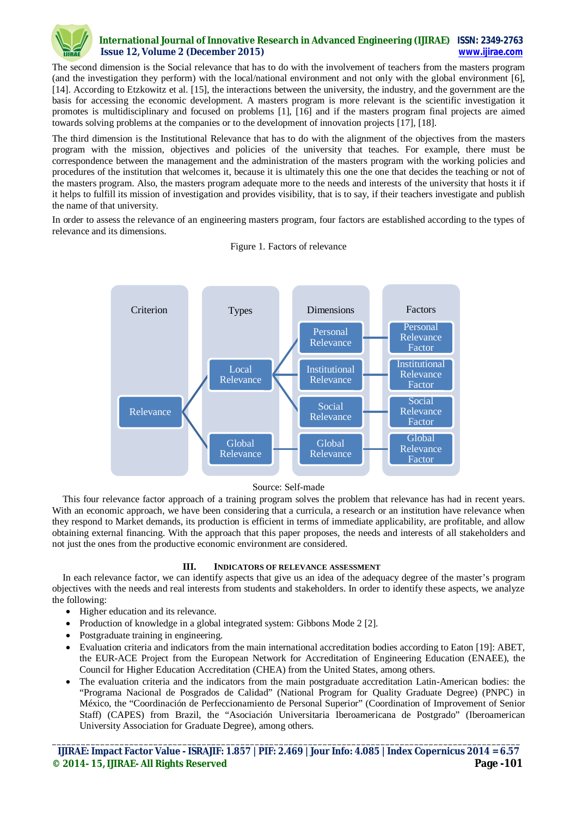

The second dimension is the Social relevance that has to do with the involvement of teachers from the masters program (and the investigation they perform) with the local/national environment and not only with the global environment [6], [14]. According to Etzkowitz et al. [15], the interactions between the university, the industry, and the government are the basis for accessing the economic development. A masters program is more relevant is the scientific investigation it promotes is multidisciplinary and focused on problems [1], [16] and if the masters program final projects are aimed towards solving problems at the companies or to the development of innovation projects [17], [18].

The third dimension is the Institutional Relevance that has to do with the alignment of the objectives from the masters program with the mission, objectives and policies of the university that teaches. For example, there must be correspondence between the management and the administration of the masters program with the working policies and procedures of the institution that welcomes it, because it is ultimately this one the one that decides the teaching or not of the masters program. Also, the masters program adequate more to the needs and interests of the university that hosts it if it helps to fulfill its mission of investigation and provides visibility, that is to say, if their teachers investigate and publish the name of that university.

In order to assess the relevance of an engineering masters program, four factors are established according to the types of relevance and its dimensions.



Figure 1. Factors of relevance

#### Source: Self-made

This four relevance factor approach of a training program solves the problem that relevance has had in recent years. With an economic approach, we have been considering that a curricula, a research or an institution have relevance when they respond to Market demands, its production is efficient in terms of immediate applicability, are profitable, and allow obtaining external financing. With the approach that this paper proposes, the needs and interests of all stakeholders and not just the ones from the productive economic environment are considered.

## **III. INDICATORS OF RELEVANCE ASSESSMENT**

In each relevance factor, we can identify aspects that give us an idea of the adequacy degree of the master's program objectives with the needs and real interests from students and stakeholders. In order to identify these aspects, we analyze the following:

- Higher education and its relevance.
- Production of knowledge in a global integrated system: Gibbons Mode 2 [2].
- Postgraduate training in engineering.
- Evaluation criteria and indicators from the main international accreditation bodies according to Eaton [19]: ABET, the EUR-ACE Project from the European Network for Accreditation of Engineering Education (ENAEE), the Council for Higher Education Accreditation (CHEA) from the United States, among others.
- The evaluation criteria and the indicators from the main postgraduate accreditation Latin-American bodies: the "Programa Nacional de Posgrados de Calidad" (National Program for Quality Graduate Degree) (PNPC) in México, the "Coordinación de Perfeccionamiento de Personal Superior" (Coordination of Improvement of Senior Staff) (CAPES) from Brazil, the "Asociación Universitaria Iberoamericana de Postgrado" (Iberoamerican University Association for Graduate Degree), among others.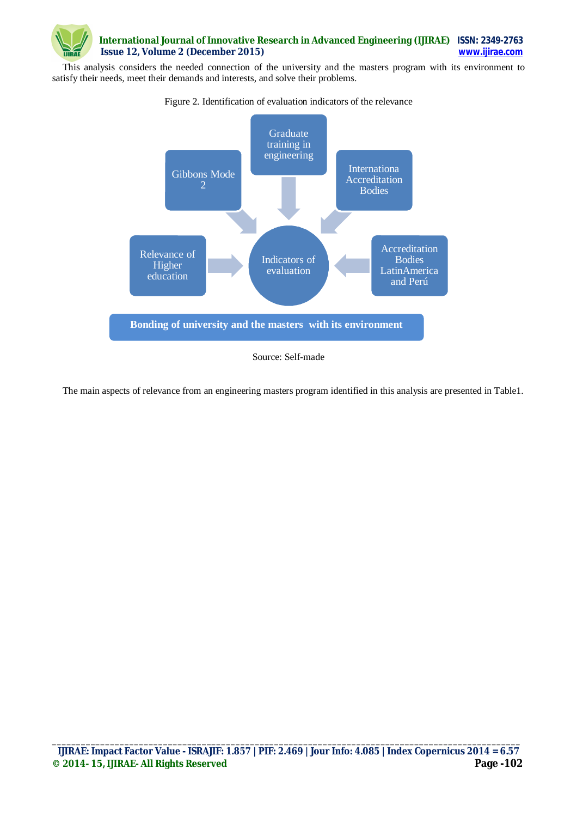

This analysis considers the needed connection of the university and the masters program with its environment to satisfy their needs, meet their demands and interests, and solve their problems.



Figure 2. Identification of evaluation indicators of the relevance

The main aspects of relevance from an engineering masters program identified in this analysis are presented in Table1.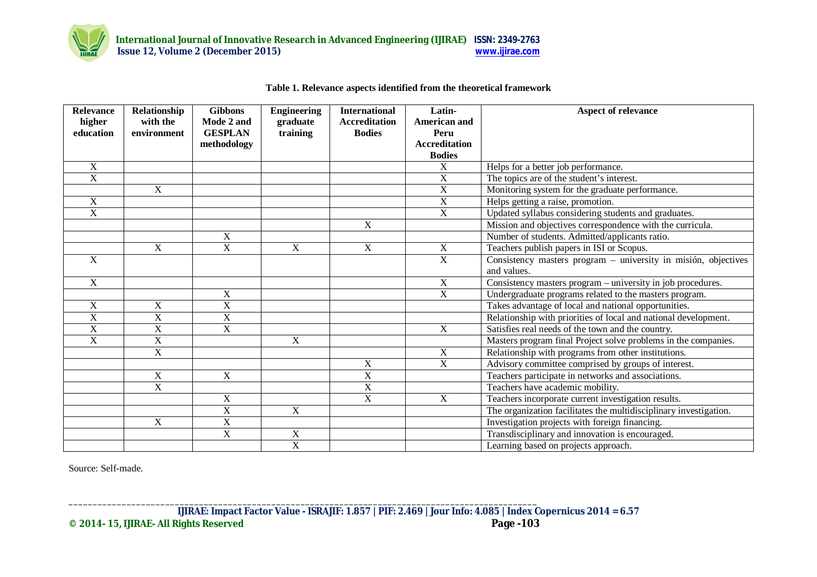

# **Table 1. Relevance aspects identified from the theoretical framework**

| <b>Relevance</b>      | Relationship          | <b>Gibbons</b>        | <b>Engineering</b> | <b>International</b>    | Latin-                | Aspect of relevance                                               |
|-----------------------|-----------------------|-----------------------|--------------------|-------------------------|-----------------------|-------------------------------------------------------------------|
| higher                | with the              | Mode 2 and            | graduate           | <b>Accreditation</b>    | <b>American and</b>   |                                                                   |
| education             | environment           | <b>GESPLAN</b>        | training           | <b>Bodies</b>           | Peru                  |                                                                   |
|                       |                       | methodology           |                    |                         | <b>Accreditation</b>  |                                                                   |
|                       |                       |                       |                    |                         | <b>Bodies</b>         |                                                                   |
| X                     |                       |                       |                    |                         | X                     | Helps for a better job performance.                               |
| $\overline{\text{X}}$ |                       |                       |                    |                         | X                     | The topics are of the student's interest.                         |
|                       | $\mathbf X$           |                       |                    |                         | $\overline{\text{X}}$ | Monitoring system for the graduate performance.                   |
| X                     |                       |                       |                    |                         | $\overline{\text{X}}$ | Helps getting a raise, promotion.                                 |
| $\overline{\text{X}}$ |                       |                       |                    |                         | $\overline{\text{X}}$ | Updated syllabus considering students and graduates.              |
|                       |                       |                       |                    | X                       |                       | Mission and objectives correspondence with the curricula.         |
|                       |                       | $\mathbf X$           |                    |                         |                       | Number of students. Admitted/applicants ratio.                    |
|                       | $\mathbf X$           | $\overline{X}$        | $\overline{X}$     | $\overline{X}$          | X                     | Teachers publish papers in ISI or Scopus.                         |
| $\overline{X}$        |                       |                       |                    |                         | $\overline{X}$        | Consistency masters program – university in misión, objectives    |
|                       |                       |                       |                    |                         |                       | and values.                                                       |
| $\overline{X}$        |                       |                       |                    |                         | $\overline{X}$        | Consistency masters program – university in job procedures.       |
|                       |                       | X                     |                    |                         | $\overline{X}$        | Undergraduate programs related to the masters program.            |
| X                     | $\mathbf X$           | X                     |                    |                         |                       | Takes advantage of local and national opportunities.              |
| $\overline{\text{X}}$ | X                     | $\overline{\text{X}}$ |                    |                         |                       | Relationship with priorities of local and national development.   |
| $\overline{\text{X}}$ | X                     | $\overline{X}$        |                    |                         | $\overline{X}$        | Satisfies real needs of the town and the country.                 |
| $\mathbf X$           | X                     |                       | $\overline{X}$     |                         |                       | Masters program final Project solve problems in the companies.    |
|                       | $\mathbf X$           |                       |                    |                         | X                     | Relationship with programs from other institutions.               |
|                       |                       |                       |                    | $\overline{X}$          | $\overline{X}$        | Advisory committee comprised by groups of interest.               |
|                       | $\overline{X}$        | $\overline{X}$        |                    | $\overline{\mathbf{X}}$ |                       | Teachers participate in networks and associations.                |
|                       | $\overline{\text{X}}$ |                       |                    | $\overline{X}$          |                       | Teachers have academic mobility.                                  |
|                       |                       | $\mathbf X$           |                    | $\overline{X}$          | X                     | Teachers incorporate current investigation results.               |
|                       |                       | $\overline{X}$        | $\overline{X}$     |                         |                       | The organization facilitates the multidisciplinary investigation. |
|                       | $\mathbf X$           | $\overline{X}$        |                    |                         |                       | Investigation projects with foreign financing.                    |
|                       |                       | $\overline{X}$        | $\overline{X}$     |                         |                       | Transdisciplinary and innovation is encouraged.                   |
|                       |                       |                       | $\overline{X}$     |                         |                       | Learning based on projects approach.                              |

Source: Self-made.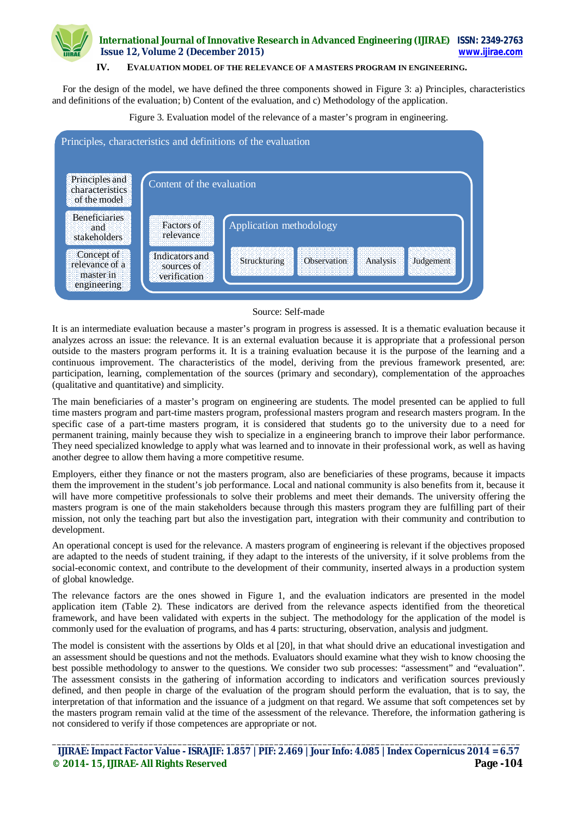## **IV. EVALUATION MODEL OF THE RELEVANCE OF A MASTERS PROGRAM IN ENGINEERING.**

For the design of the model, we have defined the three components showed in Figure 3: a) Principles, characteristics and definitions of the evaluation; b) Content of the evaluation, and c) Methodology of the application.

Figure 3. Evaluation model of the relevance of a master's program in engineering.



#### Source: Self-made

It is an intermediate evaluation because a master's program in progress is assessed. It is a thematic evaluation because it analyzes across an issue: the relevance. It is an external evaluation because it is appropriate that a professional person outside to the masters program performs it. It is a training evaluation because it is the purpose of the learning and a continuous improvement. The characteristics of the model, deriving from the previous framework presented, are: participation, learning, complementation of the sources (primary and secondary), complementation of the approaches (qualitative and quantitative) and simplicity.

The main beneficiaries of a master's program on engineering are students. The model presented can be applied to full time masters program and part-time masters program, professional masters program and research masters program. In the specific case of a part-time masters program, it is considered that students go to the university due to a need for permanent training, mainly because they wish to specialize in a engineering branch to improve their labor performance. They need specialized knowledge to apply what was learned and to innovate in their professional work, as well as having another degree to allow them having a more competitive resume.

Employers, either they finance or not the masters program, also are beneficiaries of these programs, because it impacts them the improvement in the student's job performance. Local and national community is also benefits from it, because it will have more competitive professionals to solve their problems and meet their demands. The university offering the masters program is one of the main stakeholders because through this masters program they are fulfilling part of their mission, not only the teaching part but also the investigation part, integration with their community and contribution to development.

An operational concept is used for the relevance. A masters program of engineering is relevant if the objectives proposed are adapted to the needs of student training, if they adapt to the interests of the university, if it solve problems from the social-economic context, and contribute to the development of their community, inserted always in a production system of global knowledge.

The relevance factors are the ones showed in Figure 1, and the evaluation indicators are presented in the model application item (Table 2). These indicators are derived from the relevance aspects identified from the theoretical framework, and have been validated with experts in the subject. The methodology for the application of the model is commonly used for the evaluation of programs, and has 4 parts: structuring, observation, analysis and judgment.

The model is consistent with the assertions by Olds et al [20], in that what should drive an educational investigation and an assessment should be questions and not the methods. Evaluators should examine what they wish to know choosing the best possible methodology to answer to the questions. We consider two sub processes: "assessment" and "evaluation". The assessment consists in the gathering of information according to indicators and verification sources previously defined, and then people in charge of the evaluation of the program should perform the evaluation, that is to say, the interpretation of that information and the issuance of a judgment on that regard. We assume that soft competences set by the masters program remain valid at the time of the assessment of the relevance. Therefore, the information gathering is not considered to verify if those competences are appropriate or not.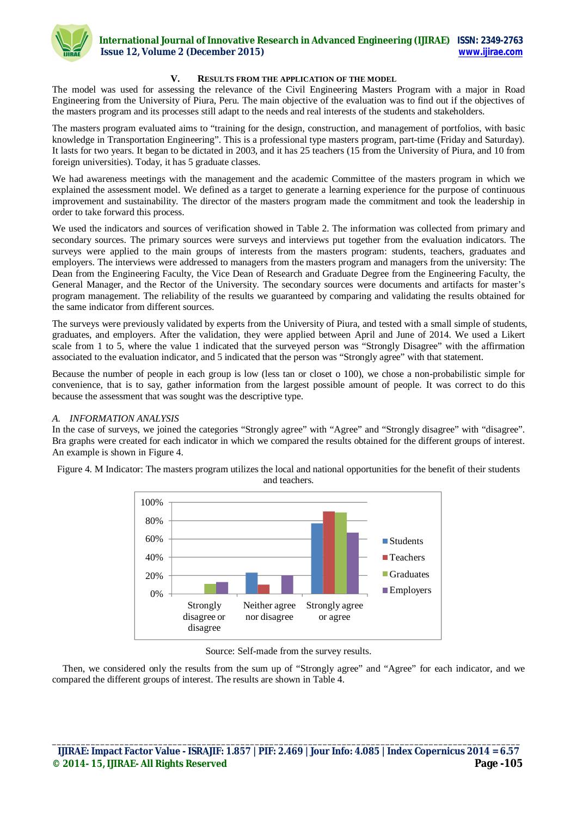

### **V. RESULTS FROM THE APPLICATION OF THE MODEL**

The model was used for assessing the relevance of the Civil Engineering Masters Program with a major in Road Engineering from the University of Piura, Peru. The main objective of the evaluation was to find out if the objectives of the masters program and its processes still adapt to the needs and real interests of the students and stakeholders.

The masters program evaluated aims to "training for the design, construction, and management of portfolios, with basic knowledge in Transportation Engineering". This is a professional type masters program, part-time (Friday and Saturday). It lasts for two years. It began to be dictated in 2003, and it has 25 teachers (15 from the University of Piura, and 10 from foreign universities). Today, it has 5 graduate classes.

We had awareness meetings with the management and the academic Committee of the masters program in which we explained the assessment model. We defined as a target to generate a learning experience for the purpose of continuous improvement and sustainability. The director of the masters program made the commitment and took the leadership in order to take forward this process.

We used the indicators and sources of verification showed in Table 2. The information was collected from primary and secondary sources. The primary sources were surveys and interviews put together from the evaluation indicators. The surveys were applied to the main groups of interests from the masters program: students, teachers, graduates and employers. The interviews were addressed to managers from the masters program and managers from the university: The Dean from the Engineering Faculty, the Vice Dean of Research and Graduate Degree from the Engineering Faculty, the General Manager, and the Rector of the University. The secondary sources were documents and artifacts for master's program management. The reliability of the results we guaranteed by comparing and validating the results obtained for the same indicator from different sources.

The surveys were previously validated by experts from the University of Piura, and tested with a small simple of students, graduates, and employers. After the validation, they were applied between April and June of 2014. We used a Likert scale from 1 to 5, where the value 1 indicated that the surveyed person was "Strongly Disagree" with the affirmation associated to the evaluation indicator, and 5 indicated that the person was "Strongly agree" with that statement.

Because the number of people in each group is low (less tan or closet o 100), we chose a non-probabilistic simple for convenience, that is to say, gather information from the largest possible amount of people. It was correct to do this because the assessment that was sought was the descriptive type.

#### *A. INFORMATION ANALYSIS*

In the case of surveys, we joined the categories "Strongly agree" with "Agree" and "Strongly disagree" with "disagree". Bra graphs were created for each indicator in which we compared the results obtained for the different groups of interest. An example is shown in Figure 4.

Figure 4. M Indicator: The masters program utilizes the local and national opportunities for the benefit of their students and teachers.



Source: Self-made from the survey results.

Then, we considered only the results from the sum up of "Strongly agree" and "Agree" for each indicator, and we compared the different groups of interest. The results are shown in Table 4.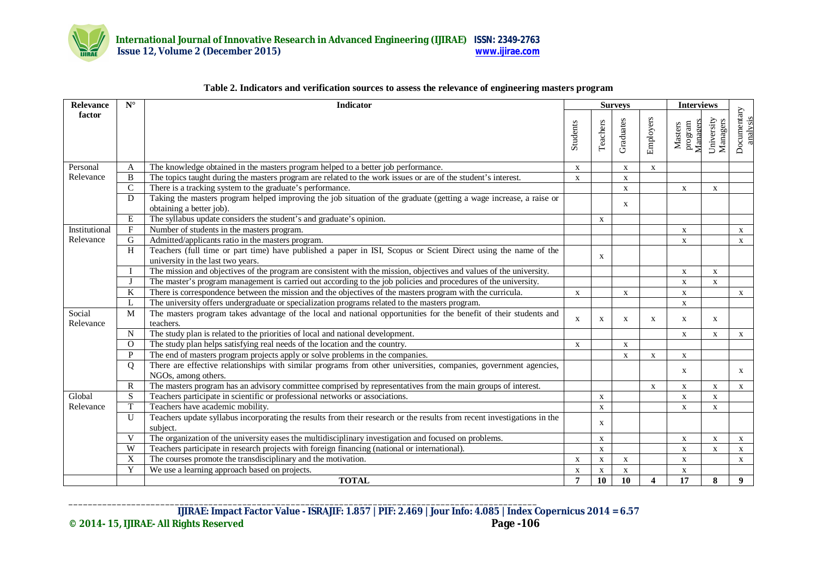

| $\mathbf{N}^{\circ}$<br><b>Relevance</b> |               | <b>Indicator</b>                                                                                                                                    |                | <b>Surveys</b> |              |                          |                                | <b>Interviews</b>      |                         |
|------------------------------------------|---------------|-----------------------------------------------------------------------------------------------------------------------------------------------------|----------------|----------------|--------------|--------------------------|--------------------------------|------------------------|-------------------------|
| factor                                   |               |                                                                                                                                                     | Students       | Teachers       | Graduates    | Employers                | Managers<br>program<br>Masters | University<br>Managers | Documentary<br>analysis |
| Personal                                 | A             | The knowledge obtained in the masters program helped to a better job performance.                                                                   | X              |                | X            | X                        |                                |                        |                         |
| Relevance                                | B             | The topics taught during the masters program are related to the work issues or are of the student's interest.                                       | $\mathbf X$    |                | $\mathbf X$  |                          |                                |                        |                         |
|                                          | $\mathcal{C}$ | There is a tracking system to the graduate's performance.                                                                                           |                |                | X            |                          | $\mathbf X$                    | X                      |                         |
|                                          | D             | Taking the masters program helped improving the job situation of the graduate (getting a wage increase, a raise or<br>obtaining a better job).      |                |                | $\mathbf{X}$ |                          |                                |                        |                         |
|                                          | E             | The syllabus update considers the student's and graduate's opinion.                                                                                 |                | $\mathbf X$    |              |                          |                                |                        |                         |
| Institutional                            | F             | Number of students in the masters program.                                                                                                          |                |                |              |                          | $\mathbf X$                    |                        | $\mathbf{X}$            |
| Relevance                                | G             | Admitted/applicants ratio in the masters program.                                                                                                   |                |                |              |                          | $\mathbf X$                    |                        | $\mathbf X$             |
|                                          | H             | Teachers (full time or part time) have published a paper in ISI, Scopus or Scient Direct using the name of the<br>university in the last two years. |                | X              |              |                          |                                |                        |                         |
|                                          | $\mathbf I$   | The mission and objectives of the program are consistent with the mission, objectives and values of the university.                                 |                |                |              |                          | $\mathbf{X}$                   | $\mathbf{X}$           |                         |
|                                          | $\bf J$       | The master's program management is carried out according to the job policies and procedures of the university.                                      |                |                |              |                          | $\mathbf x$                    | X                      |                         |
|                                          | K             | There is correspondence between the mission and the objectives of the masters program with the curricula.                                           | $\mathbf{x}$   |                | $\mathbf{X}$ |                          | $\mathbf{X}$                   |                        | $\mathbf{X}$            |
|                                          | L             | The university offers undergraduate or specialization programs related to the masters program.                                                      |                |                |              |                          | $\mathbf X$                    |                        |                         |
| Social<br>Relevance                      | M             | The masters program takes advantage of the local and national opportunities for the benefit of their students and<br>teachers.                      | $\mathbf{x}$   | X              | $\mathbf{x}$ | $\mathbf{x}$             | X                              | $\mathbf{X}$           |                         |
|                                          | $\mathbf N$   | The study plan is related to the priorities of local and national development.                                                                      |                |                |              |                          | $\mathbf X$                    | $\mathbf X$            | $\mathbf{X}$            |
|                                          | $\Omega$      | The study plan helps satisfying real needs of the location and the country.                                                                         | X              |                | $\mathbf{X}$ |                          |                                |                        |                         |
|                                          | P             | The end of masters program projects apply or solve problems in the companies.                                                                       |                |                | $\mathbf{X}$ | X                        | $\mathbf X$                    |                        |                         |
|                                          | $\mathbf{O}$  | There are effective relationships with similar programs from other universities, companies, government agencies,<br>NGOs, among others.             |                |                |              |                          | $\mathbf{X}$                   |                        | $\mathbf{X}$            |
|                                          | $\mathbb{R}$  | The masters program has an advisory committee comprised by representatives from the main groups of interest.                                        |                |                |              | X                        | $\mathbf{X}$                   | X                      | $\mathbf{X}$            |
| Global                                   | S             | Teachers participate in scientific or professional networks or associations.                                                                        |                | $\mathbf X$    |              |                          | $\mathbf X$                    | $\mathbf X$            |                         |
| Relevance                                | T             | Teachers have academic mobility.                                                                                                                    |                | $\mathbf X$    |              |                          | $\mathbf X$                    | $\mathbf X$            |                         |
|                                          | $\mathbf{U}$  | Teachers update syllabus incorporating the results from their research or the results from recent investigations in the<br>subject.                 |                | $\mathbf{x}$   |              |                          |                                |                        |                         |
|                                          | V             | The organization of the university eases the multidisciplinary investigation and focused on problems.                                               |                | $\mathbf X$    |              |                          | $\mathbf X$                    | $\mathbf X$            | $\mathbf{X}$            |
|                                          | W             | Teachers participate in research projects with foreign financing (national or international).                                                       |                | $\mathbf X$    |              |                          | $\mathbf X$                    | $\mathbf X$            | $\mathbf x$             |
|                                          | X             | The courses promote the transdisciplinary and the motivation.                                                                                       | X              | $\mathbf X$    | $\mathbf{x}$ |                          | $\mathbf X$                    |                        | $\mathbf{X}$            |
|                                          | Y             | We use a learning approach based on projects.                                                                                                       | $\mathbf x$    | $\mathbf X$    | $\mathbf X$  |                          | $\mathbf X$                    |                        |                         |
|                                          |               | <b>TOTAL</b>                                                                                                                                        | $\overline{7}$ | <b>10</b>      | <b>10</b>    | $\boldsymbol{\varDelta}$ | 17                             | 8                      | 9                       |

# **Table 2. Indicators and verification sources to assess the relevance of engineering masters program**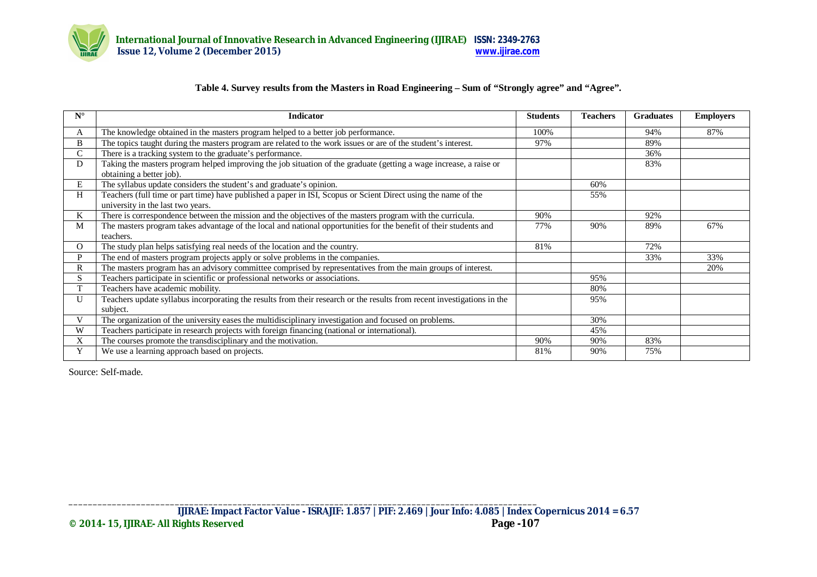

# **Table 4. Survey results from the Masters in Road Engineering – Sum of "Strongly agree" and "Agree".**

| $N^{\circ}$ | <b>Indicator</b>                                                                                                                               | <b>Students</b> | <b>Teachers</b> | <b>Graduates</b> | <b>Employers</b> |
|-------------|------------------------------------------------------------------------------------------------------------------------------------------------|-----------------|-----------------|------------------|------------------|
| A           | The knowledge obtained in the masters program helped to a better job performance.                                                              | 100%            |                 | 94%              | 87%              |
| B           | The topics taught during the masters program are related to the work issues or are of the student's interest.                                  | 97%             |                 | 89%              |                  |
| C.          | There is a tracking system to the graduate's performance.                                                                                      |                 |                 | 36%              |                  |
| D           | Taking the masters program helped improving the job situation of the graduate (getting a wage increase, a raise or<br>obtaining a better job). |                 |                 | 83%              |                  |
| Е           | The syllabus update considers the student's and graduate's opinion.                                                                            |                 | 60%             |                  |                  |
| H           | Teachers (full time or part time) have published a paper in ISI, Scopus or Scient Direct using the name of the                                 |                 | 55%             |                  |                  |
|             | university in the last two years.                                                                                                              |                 |                 |                  |                  |
| K           | There is correspondence between the mission and the objectives of the masters program with the curricula.                                      | 90%             |                 | 92%              |                  |
| M           | The masters program takes advantage of the local and national opportunities for the benefit of their students and                              | 77%             | 90%             | 89%              | 67%              |
|             | teachers.                                                                                                                                      |                 |                 |                  |                  |
| O           | The study plan helps satisfying real needs of the location and the country.                                                                    | 81%             |                 | 72%              |                  |
| P           | The end of masters program projects apply or solve problems in the companies.                                                                  |                 |                 | 33%              | 33%              |
| R           | The masters program has an advisory committee comprised by representatives from the main groups of interest.                                   |                 |                 |                  | 20%              |
| S           | Teachers participate in scientific or professional networks or associations.                                                                   |                 | 95%             |                  |                  |
| T           | Teachers have academic mobility.                                                                                                               |                 | 80%             |                  |                  |
| U           | Teachers update syllabus incorporating the results from their research or the results from recent investigations in the                        |                 | 95%             |                  |                  |
|             | subject.                                                                                                                                       |                 |                 |                  |                  |
| V           | The organization of the university eases the multidisciplinary investigation and focused on problems.                                          |                 | 30%             |                  |                  |
| W           | Teachers participate in research projects with foreign financing (national or international).                                                  |                 | 45%             |                  |                  |
| X           | The courses promote the transdisciplinary and the motivation.                                                                                  | 90%             | 90%             | 83%              |                  |
| Y           | We use a learning approach based on projects.                                                                                                  | 81%             | 90%             | 75%              |                  |

Source: Self-made.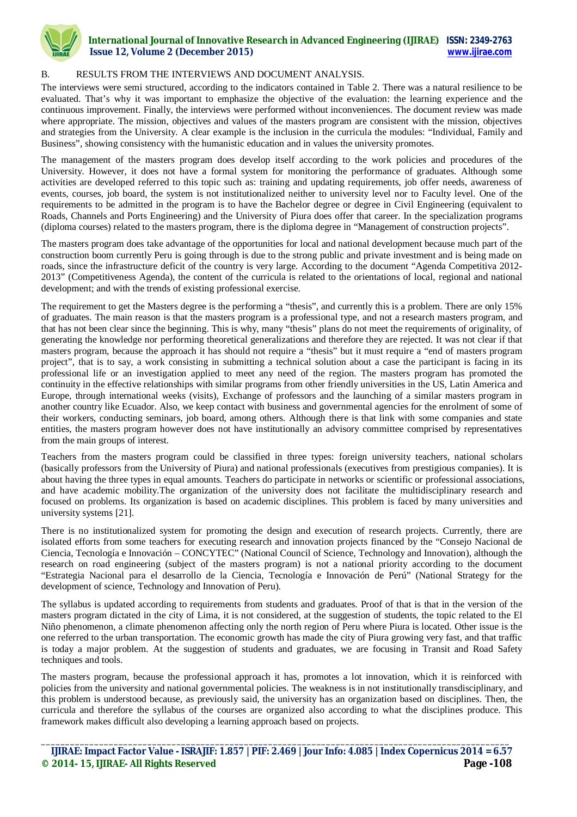

## B. RESULTS FROM THE INTERVIEWS AND DOCUMENT ANALYSIS.

The interviews were semi structured, according to the indicators contained in Table 2. There was a natural resilience to be evaluated. That's why it was important to emphasize the objective of the evaluation: the learning experience and the continuous improvement. Finally, the interviews were performed without inconveniences. The document review was made where appropriate. The mission, objectives and values of the masters program are consistent with the mission, objectives and strategies from the University. A clear example is the inclusion in the curricula the modules: "Individual, Family and Business", showing consistency with the humanistic education and in values the university promotes.

The management of the masters program does develop itself according to the work policies and procedures of the University. However, it does not have a formal system for monitoring the performance of graduates. Although some activities are developed referred to this topic such as: training and updating requirements, job offer needs, awareness of events, courses, job board, the system is not institutionalized neither to university level nor to Faculty level. One of the requirements to be admitted in the program is to have the Bachelor degree or degree in Civil Engineering (equivalent to Roads, Channels and Ports Engineering) and the University of Piura does offer that career. In the specialization programs (diploma courses) related to the masters program, there is the diploma degree in "Management of construction projects".

The masters program does take advantage of the opportunities for local and national development because much part of the construction boom currently Peru is going through is due to the strong public and private investment and is being made on roads, since the infrastructure deficit of the country is very large. According to the document "Agenda Competitiva 2012- 2013" (Competitiveness Agenda), the content of the curricula is related to the orientations of local, regional and national development; and with the trends of existing professional exercise.

The requirement to get the Masters degree is the performing a "thesis", and currently this is a problem. There are only 15% of graduates. The main reason is that the masters program is a professional type, and not a research masters program, and that has not been clear since the beginning. This is why, many "thesis" plans do not meet the requirements of originality, of generating the knowledge nor performing theoretical generalizations and therefore they are rejected. It was not clear if that masters program, because the approach it has should not require a "thesis" but it must require a "end of masters program project", that is to say, a work consisting in submitting a technical solution about a case the participant is facing in its professional life or an investigation applied to meet any need of the region. The masters program has promoted the continuity in the effective relationships with similar programs from other friendly universities in the US, Latin America and Europe, through international weeks (visits), Exchange of professors and the launching of a similar masters program in another country like Ecuador. Also, we keep contact with business and governmental agencies for the enrolment of some of their workers, conducting seminars, job board, among others. Although there is that link with some companies and state entities, the masters program however does not have institutionally an advisory committee comprised by representatives from the main groups of interest.

Teachers from the masters program could be classified in three types: foreign university teachers, national scholars (basically professors from the University of Piura) and national professionals (executives from prestigious companies). It is about having the three types in equal amounts. Teachers do participate in networks or scientific or professional associations, and have academic mobility.The organization of the university does not facilitate the multidisciplinary research and focused on problems. Its organization is based on academic disciplines. This problem is faced by many universities and university systems [21].

There is no institutionalized system for promoting the design and execution of research projects. Currently, there are isolated efforts from some teachers for executing research and innovation projects financed by the "Consejo Nacional de Ciencia, Tecnología e Innovación – CONCYTEC" (National Council of Science, Technology and Innovation), although the research on road engineering (subject of the masters program) is not a national priority according to the document "Estrategia Nacional para el desarrollo de la Ciencia, Tecnología e Innovación de Perú" (National Strategy for the development of science, Technology and Innovation of Peru).

The syllabus is updated according to requirements from students and graduates. Proof of that is that in the version of the masters program dictated in the city of Lima, it is not considered, at the suggestion of students, the topic related to the El Niño phenomenon, a climate phenomenon affecting only the north region of Peru where Piura is located. Other issue is the one referred to the urban transportation. The economic growth has made the city of Piura growing very fast, and that traffic is today a major problem. At the suggestion of students and graduates, we are focusing in Transit and Road Safety techniques and tools.

The masters program, because the professional approach it has, promotes a lot innovation, which it is reinforced with policies from the university and national governmental policies. The weakness is in not institutionally transdisciplinary, and this problem is understood because, as previously said, the university has an organization based on disciplines. Then, the curricula and therefore the syllabus of the courses are organized also according to what the disciplines produce. This framework makes difficult also developing a learning approach based on projects.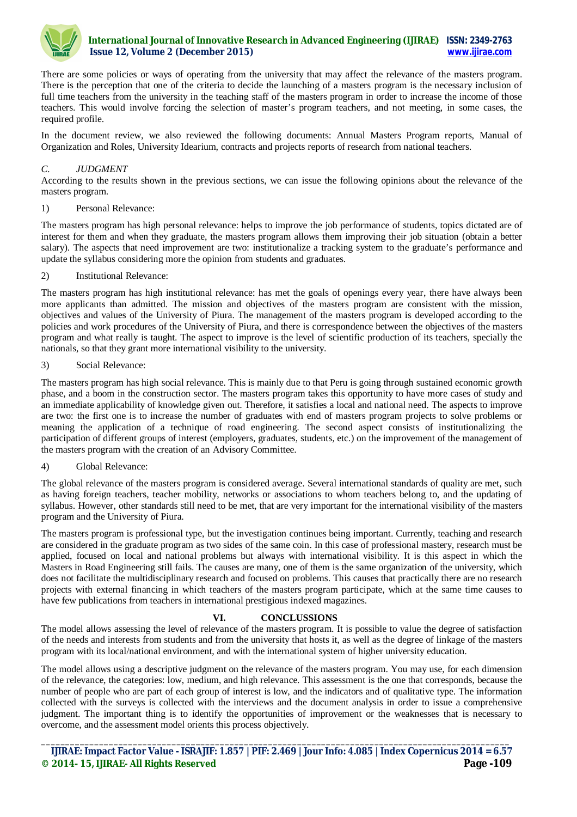

There are some policies or ways of operating from the university that may affect the relevance of the masters program. There is the perception that one of the criteria to decide the launching of a masters program is the necessary inclusion of full time teachers from the university in the teaching staff of the masters program in order to increase the income of those teachers. This would involve forcing the selection of master's program teachers, and not meeting, in some cases, the required profile.

In the document review, we also reviewed the following documents: Annual Masters Program reports, Manual of Organization and Roles, University Idearium, contracts and projects reports of research from national teachers.

## *C. JUDGMENT*

According to the results shown in the previous sections, we can issue the following opinions about the relevance of the masters program.

## 1) Personal Relevance:

The masters program has high personal relevance: helps to improve the job performance of students, topics dictated are of interest for them and when they graduate, the masters program allows them improving their job situation (obtain a better salary). The aspects that need improvement are two: institutionalize a tracking system to the graduate's performance and update the syllabus considering more the opinion from students and graduates.

## 2) Institutional Relevance:

The masters program has high institutional relevance: has met the goals of openings every year, there have always been more applicants than admitted. The mission and objectives of the masters program are consistent with the mission, objectives and values of the University of Piura. The management of the masters program is developed according to the policies and work procedures of the University of Piura, and there is correspondence between the objectives of the masters program and what really is taught. The aspect to improve is the level of scientific production of its teachers, specially the nationals, so that they grant more international visibility to the university.

## 3) Social Relevance:

The masters program has high social relevance. This is mainly due to that Peru is going through sustained economic growth phase, and a boom in the construction sector. The masters program takes this opportunity to have more cases of study and an immediate applicability of knowledge given out. Therefore, it satisfies a local and national need. The aspects to improve are two: the first one is to increase the number of graduates with end of masters program projects to solve problems or meaning the application of a technique of road engineering. The second aspect consists of institutionalizing the participation of different groups of interest (employers, graduates, students, etc.) on the improvement of the management of the masters program with the creation of an Advisory Committee.

## 4) Global Relevance:

The global relevance of the masters program is considered average. Several international standards of quality are met, such as having foreign teachers, teacher mobility, networks or associations to whom teachers belong to, and the updating of syllabus. However, other standards still need to be met, that are very important for the international visibility of the masters program and the University of Piura.

The masters program is professional type, but the investigation continues being important. Currently, teaching and research are considered in the graduate program as two sides of the same coin. In this case of professional mastery, research must be applied, focused on local and national problems but always with international visibility. It is this aspect in which the Masters in Road Engineering still fails. The causes are many, one of them is the same organization of the university, which does not facilitate the multidisciplinary research and focused on problems. This causes that practically there are no research projects with external financing in which teachers of the masters program participate, which at the same time causes to have few publications from teachers in international prestigious indexed magazines.

# **VI. CONCLUSSIONS**

The model allows assessing the level of relevance of the masters program. It is possible to value the degree of satisfaction of the needs and interests from students and from the university that hosts it, as well as the degree of linkage of the masters program with its local/national environment, and with the international system of higher university education.

The model allows using a descriptive judgment on the relevance of the masters program. You may use, for each dimension of the relevance, the categories: low, medium, and high relevance. This assessment is the one that corresponds, because the number of people who are part of each group of interest is low, and the indicators and of qualitative type. The information collected with the surveys is collected with the interviews and the document analysis in order to issue a comprehensive judgment. The important thing is to identify the opportunities of improvement or the weaknesses that is necessary to overcome, and the assessment model orients this process objectively.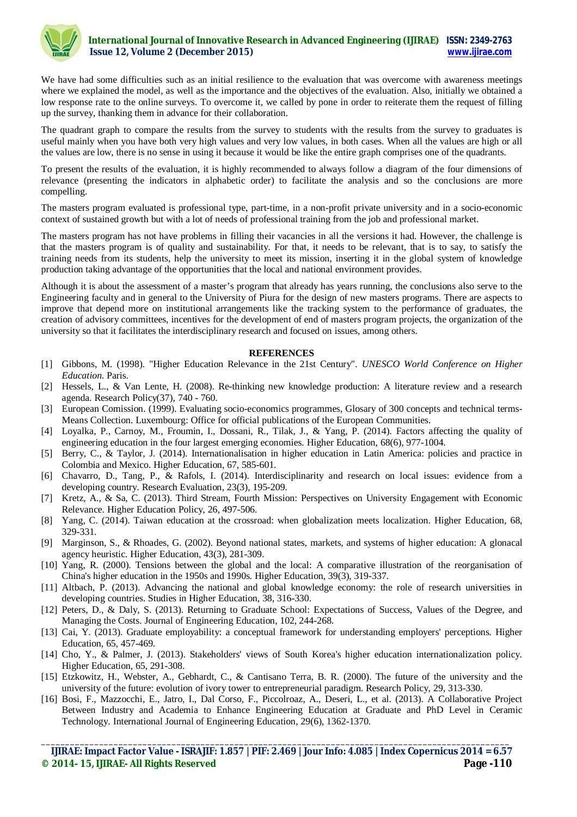

We have had some difficulties such as an initial resilience to the evaluation that was overcome with awareness meetings where we explained the model, as well as the importance and the objectives of the evaluation. Also, initially we obtained a low response rate to the online surveys. To overcome it, we called by pone in order to reiterate them the request of filling up the survey, thanking them in advance for their collaboration.

The quadrant graph to compare the results from the survey to students with the results from the survey to graduates is useful mainly when you have both very high values and very low values, in both cases. When all the values are high or all the values are low, there is no sense in using it because it would be like the entire graph comprises one of the quadrants.

To present the results of the evaluation, it is highly recommended to always follow a diagram of the four dimensions of relevance (presenting the indicators in alphabetic order) to facilitate the analysis and so the conclusions are more compelling.

The masters program evaluated is professional type, part-time, in a non-profit private university and in a socio-economic context of sustained growth but with a lot of needs of professional training from the job and professional market.

The masters program has not have problems in filling their vacancies in all the versions it had. However, the challenge is that the masters program is of quality and sustainability. For that, it needs to be relevant, that is to say, to satisfy the training needs from its students, help the university to meet its mission, inserting it in the global system of knowledge production taking advantage of the opportunities that the local and national environment provides.

Although it is about the assessment of a master's program that already has years running, the conclusions also serve to the Engineering faculty and in general to the University of Piura for the design of new masters programs. There are aspects to improve that depend more on institutional arrangements like the tracking system to the performance of graduates, the creation of advisory committees, incentives for the development of end of masters program projects, the organization of the university so that it facilitates the interdisciplinary research and focused on issues, among others.

#### **REFERENCES**

- [1] Gibbons, M. (1998). "Higher Education Relevance in the 21st Century". *UNESCO World Conference on Higher Education.* Paris.
- [2] Hessels, L., & Van Lente, H. (2008). Re-thinking new knowledge production: A literature review and a research agenda. Research Policy(37), 740 - 760.
- [3] European Comission. (1999). Evaluating socio-economics programmes, Glosary of 300 concepts and technical terms-Means Collection. Luxembourg: Office for official publications of the European Communities.
- [4] Loyalka, P., Carnoy, M., Froumin, I., Dossani, R., Tilak, J., & Yang, P. (2014). Factors affecting the quality of engineering education in the four largest emerging economies. Higher Education, 68(6), 977-1004.
- [5] Berry, C., & Taylor, J. (2014). Internationalisation in higher education in Latin America: policies and practice in Colombia and Mexico. Higher Education, 67, 585-601.
- [6] Chavarro, D., Tang, P., & Rafols, I. (2014). Interdisciplinarity and research on local issues: evidence from a developing country. Research Evaluation, 23(3), 195-209.
- [7] Kretz, A., & Sa, C. (2013). Third Stream, Fourth Mission: Perspectives on University Engagement with Economic Relevance. Higher Education Policy, 26, 497-506.
- [8] Yang, C. (2014). Taiwan education at the crossroad: when globalization meets localization. Higher Education, 68, 329-331.
- [9] Marginson, S., & Rhoades, G. (2002). Beyond national states, markets, and systems of higher education: A glonacal agency heuristic. Higher Education, 43(3), 281-309.
- [10] Yang, R. (2000). Tensions between the global and the local: A comparative illustration of the reorganisation of China's higher education in the 1950s and 1990s. Higher Education, 39(3), 319-337.
- [11] Altbach, P. (2013). Advancing the national and global knowledge economy: the role of research universities in developing countries. Studies in Higher Education, 38, 316-330.
- [12] Peters, D., & Daly, S. (2013). Returning to Graduate School: Expectations of Success, Values of the Degree, and Managing the Costs. Journal of Engineering Education, 102, 244-268.
- [13] Cai, Y. (2013). Graduate employability: a conceptual framework for understanding employers' perceptions. Higher Education, 65, 457-469.
- [14] Cho, Y., & Palmer, J. (2013). Stakeholders' views of South Korea's higher education internationalization policy. Higher Education, 65, 291-308.
- [15] Etzkowitz, H., Webster, A., Gebhardt, C., & Cantisano Terra, B. R. (2000). The future of the university and the university of the future: evolution of ivory tower to entrepreneurial paradigm. Research Policy, 29, 313-330.
- [16] Bosi, F., Mazzocchi, E., Jatro, I., Dal Corso, F., Piccolroaz, A., Deseri, L., et al. (2013). A Collaborative Project Between Industry and Academia to Enhance Engineering Education at Graduate and PhD Level in Ceramic Technology. International Journal of Engineering Education, 29(6), 1362-1370.

**\_\_\_\_\_\_\_\_\_\_\_\_\_\_\_\_\_\_\_\_\_\_\_\_\_\_\_\_\_\_\_\_\_\_\_\_\_\_\_\_\_\_\_\_\_\_\_\_\_\_\_\_\_\_\_\_\_\_\_\_\_\_\_\_\_\_\_\_\_\_\_\_\_\_\_\_\_\_\_\_\_\_\_\_\_\_\_\_\_\_\_\_\_\_\_\_\_ IJIRAE: Impact Factor Value - ISRAJIF: 1.857 | PIF: 2.469 | Jour Info: 4.085 | Index Copernicus 2014 = 6.57 © 2014- 15, IJIRAE- All Rights Reserved Page -110**